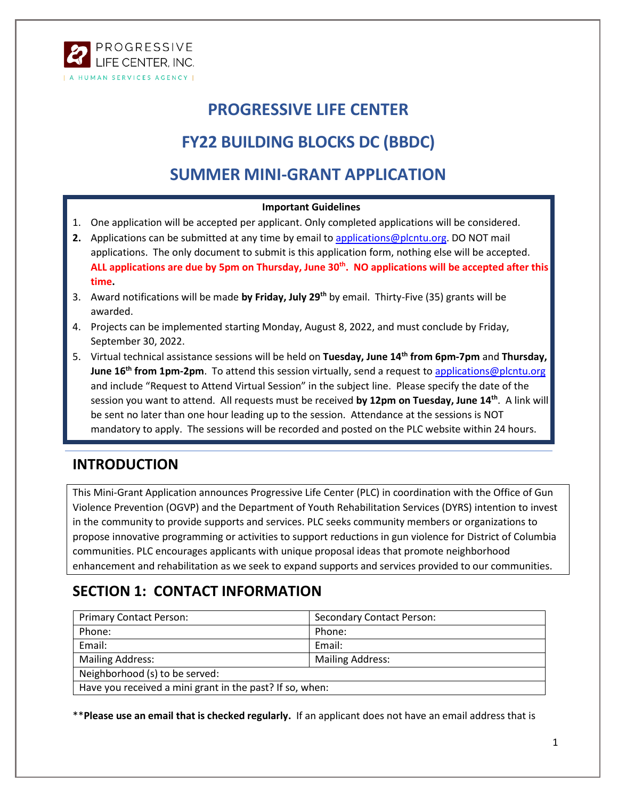

# **PROGRESSIVE LIFE CENTER**

# **FY22 BUILDING BLOCKS DC (BBDC)**

## **SUMMER MINI-GRANT APPLICATION**

#### **Important Guidelines**

- 1. One application will be accepted per applicant. Only completed applications will be considered.
- **2.** Applications can be submitted at any time by email to [applications@plcntu.org.](mailto:applications@plcntu.org) DO NOT mail applications. The only document to submit is this application form, nothing else will be accepted. **ALL applications are due by 5pm on Thursday, June 30th. NO applications will be accepted after this time.**
- 3. Award notifications will be made **by Friday, July 29th** by email. Thirty-Five (35) grants will be awarded.
- 4. Projects can be implemented starting Monday, August 8, 2022, and must conclude by Friday, September 30, 2022.
- 5. Virtual technical assistance sessions will be held on **Tuesday, June 14th from 6pm-7pm** and **Thursday, June 16th from 1pm-2pm**. To attend this session virtually, send a request to [applications@plcntu.org](mailto:applications@plcntu.org) and include "Request to Attend Virtual Session" in the subject line. Please specify the date of the session you want to attend. All requests must be received **by 12pm on Tuesday, June 14th**. A link will be sent no later than one hour leading up to the session. Attendance at the sessions is NOT mandatory to apply. The sessions will be recorded and posted on the PLC website within 24 hours.

## **INTRODUCTION**

This Mini-Grant Application announces Progressive Life Center (PLC) in coordination with the Office of Gun Violence Prevention (OGVP) and the Department of Youth Rehabilitation Services (DYRS) intention to invest in the community to provide supports and services. PLC seeks community members or organizations to propose innovative programming or activities to support reductions in gun violence for District of Columbia communities. PLC encourages applicants with unique proposal ideas that promote neighborhood enhancement and rehabilitation as we seek to expand supports and services provided to our communities.

## **SECTION 1: CONTACT INFORMATION**

| <b>Primary Contact Person:</b>                           | <b>Secondary Contact Person:</b> |  |
|----------------------------------------------------------|----------------------------------|--|
| Phone:                                                   | Phone:                           |  |
| Email:                                                   | Email:                           |  |
| <b>Mailing Address:</b>                                  | <b>Mailing Address:</b>          |  |
| Neighborhood (s) to be served:                           |                                  |  |
| Have you received a mini grant in the past? If so, when: |                                  |  |

\*\***Please use an email that is checked regularly.** If an applicant does not have an email address that is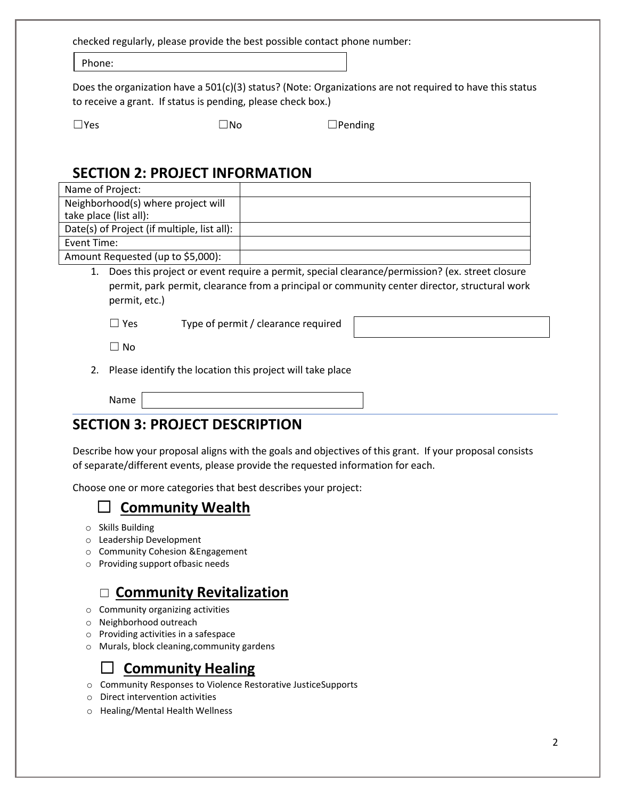checked regularly, please provide the best possible contact phone number:

Phone:

Does the organization have a  $501(c)(3)$  status? (Note: Organizations are not required to have this status to receive a grant. If status is pending, please check box.)

 $\square$ Yes  $\square$ No  $\square$ Pending

#### **SECTION 2: PROJECT INFORMATION**

| Does this project or event require a permit, special clearance/permission? (ex. street closure |
|------------------------------------------------------------------------------------------------|
|                                                                                                |

permit, park permit, clearance from a principal or community center director, structural work permit, etc.)

 $\Box$  Yes Type of permit / clearance required

 $\Box$  No

2. Please identify the location this project will take place

Name

#### **SECTION 3: PROJECT DESCRIPTION**

Describe how your proposal aligns with the goals and objectives of this grant. If your proposal consists of separate/different events, please provide the requested information for each.

Choose one or more categories that best describes your project:

## ☐ **Community Wealth**

- o Skills Building
- o Leadership Development
- o Community Cohesion &Engagement
- o Providing support ofbasic needs

## ☐ **Community Revitalization**

- o Community organizing activities
- o Neighborhood outreach
- o Providing activities in a safespace
- o Murals, block cleaning,community gardens

#### ☐ **Community Healing**

- o Community Responses to Violence Restorative JusticeSupports
- o Direct intervention activities
- o Healing/Mental Health Wellness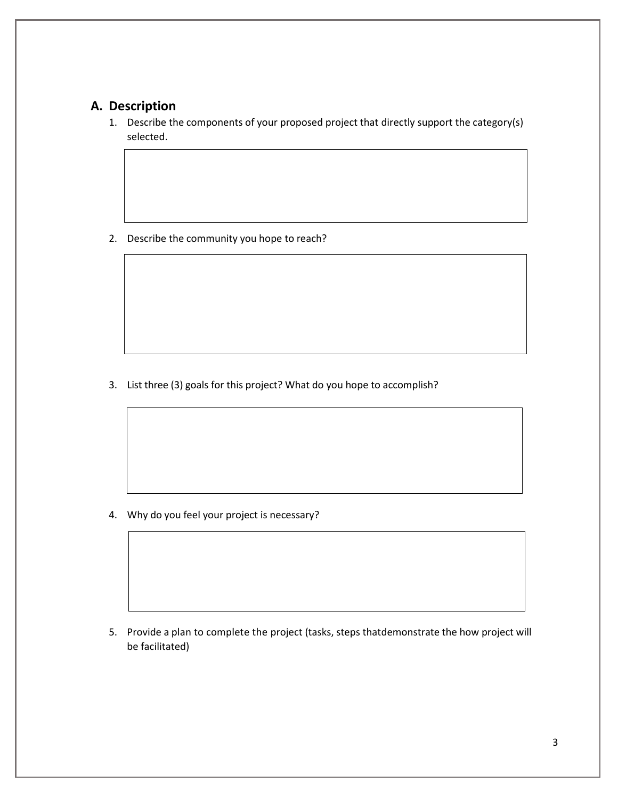#### **A. Description**

1. Describe the components of your proposed project that directly support the category(s) selected.

2. Describe the community you hope to reach?

3. List three (3) goals for this project? What do you hope to accomplish?

4. Why do you feel your project is necessary?

5. Provide a plan to complete the project (tasks, steps thatdemonstrate the how project will be facilitated)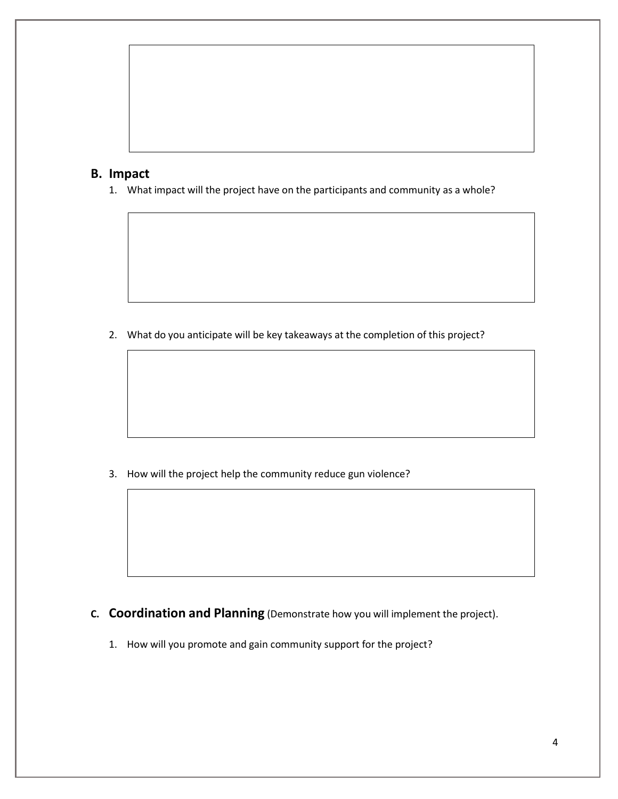

1. What impact will the project have on the participants and community as a whole?

2. What do you anticipate will be key takeaways at the completion of this project?

3. How will the project help the community reduce gun violence?

- **C. Coordination and Planning** (Demonstrate how you will implement the project).
	- 1. How will you promote and gain community support for the project?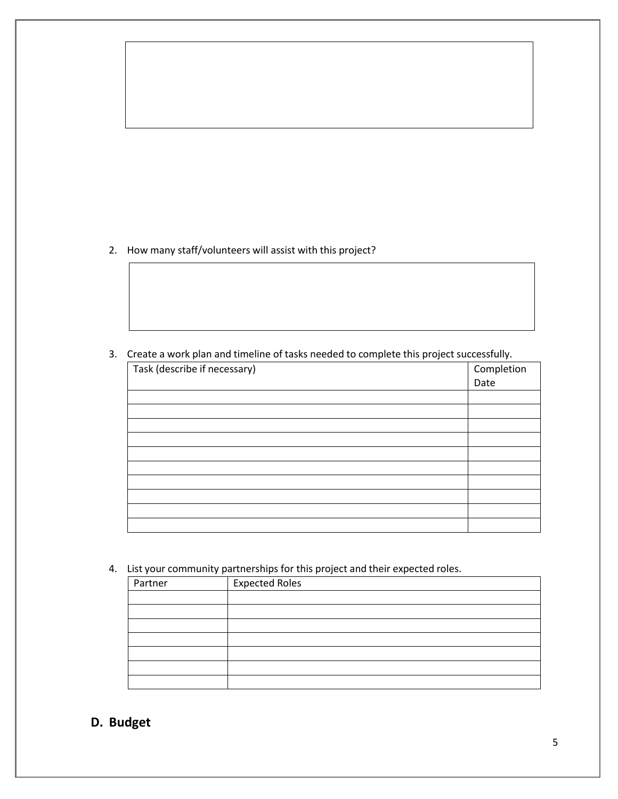2. How many staff/volunteers will assist with this project?

3. Create a work plan and timeline of tasks needed to complete this project successfully.

| Task (describe if necessary) | Completion |
|------------------------------|------------|
|                              | Date       |
|                              |            |
|                              |            |
|                              |            |
|                              |            |
|                              |            |
|                              |            |
|                              |            |
|                              |            |
|                              |            |
|                              |            |
|                              |            |

4. List your community partnerships for this project and their expected roles.

| . .     |                       |
|---------|-----------------------|
| Partner | <b>Expected Roles</b> |
|         |                       |
|         |                       |
|         |                       |
|         |                       |
|         |                       |
|         |                       |
|         |                       |

## **D. Budget**